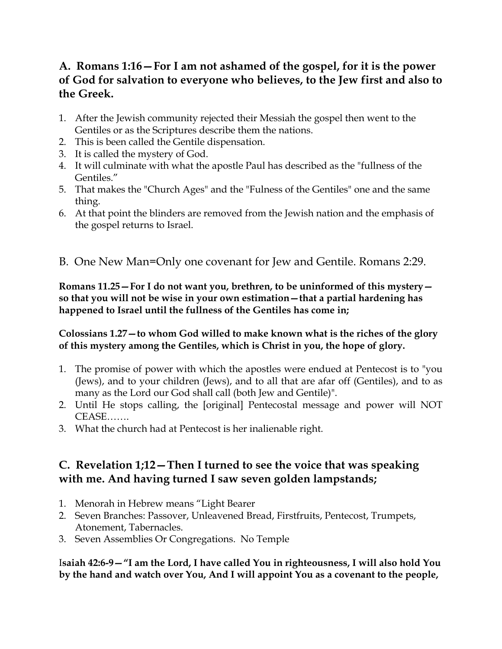## **A. Romans 1:16—For I am not ashamed of the gospel, for it is the power of God for salvation to everyone who believes, to the Jew first and also to the Greek.**

- 1. After the Jewish community rejected their Messiah the gospel then went to the Gentiles or as the Scriptures describe them the nations.
- 2. This is been called the Gentile dispensation.
- 3. It is called the mystery of God.
- 4. It will culminate with what the apostle Paul has described as the "fullness of the Gentiles."
- 5. That makes the "Church Ages" and the "Fulness of the Gentiles" one and the same thing.
- 6. At that point the blinders are removed from the Jewish nation and the emphasis of the gospel returns to Israel.
- B. One New Man=Only one covenant for Jew and Gentile. Romans 2:29.

**Romans 11.25—For I do not want you, brethren, to be uninformed of this mystery so that you will not be wise in your own estimation—that a partial hardening has happened to Israel until the fullness of the Gentiles has come in;**

#### **Colossians 1.27—to whom God willed to make known what is the riches of the glory of this mystery among the Gentiles, which is Christ in you, the hope of glory.**

- 1. The promise of power with which the apostles were endued at Pentecost is to "you (Jews), and to your children (Jews), and to all that are afar off (Gentiles), and to as many as the Lord our God shall call (both Jew and Gentile)".
- 2. Until He stops calling, the [original] Pentecostal message and power will NOT CEASE…….
- 3. What the church had at Pentecost is her inalienable right.

## **C. Revelation 1;12—Then I turned to see the voice that was speaking with me. And having turned I saw seven golden lampstands;**

- 1. Menorah in Hebrew means "Light Bearer
- 2. Seven Branches: Passover, Unleavened Bread, Firstfruits, Pentecost, Trumpets, Atonement, Tabernacles.
- 3. Seven Assemblies Or Congregations. No Temple

I**saiah 42:6-9—"I am the Lord, I have called You in righteousness, I will also hold You by the hand and watch over You, And I will appoint You as a covenant to the people,**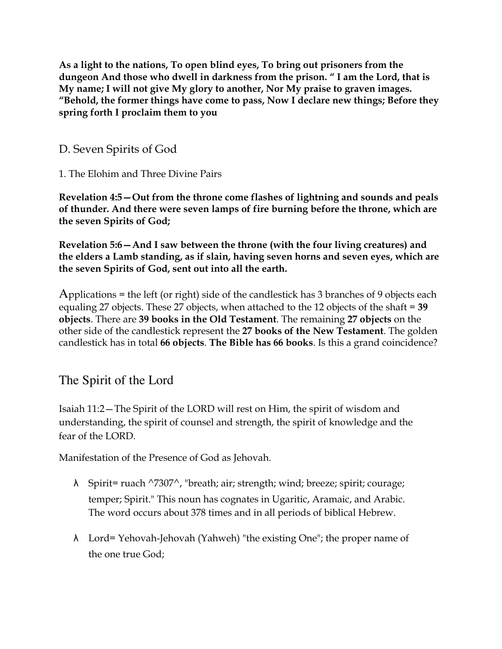**As a light to the nations, To open blind eyes, To bring out prisoners from the dungeon And those who dwell in darkness from the prison. " I am the Lord, that is My name; I will not give My glory to another, Nor My praise to graven images. "Behold, the former things have come to pass, Now I declare new things; Before they spring forth I proclaim them to you**

D. Seven Spirits of God

1. The Elohim and Three Divine Pairs

**Revelation 4:5—Out from the throne come flashes of lightning and sounds and peals of thunder. And there were seven lamps of fire burning before the throne, which are the seven Spirits of God;**

**Revelation 5:6—And I saw between the throne (with the four living creatures) and the elders a Lamb standing, as if slain, having seven horns and seven eyes, which are the seven Spirits of God, sent out into all the earth.**

Applications = the left (or right) side of the candlestick has 3 branches of 9 objects each equaling 27 objects. These 27 objects, when attached to the 12 objects of the shaft = **39 objects**. There are **39 books in the Old Testament**. The remaining **27 objects** on the other side of the candlestick represent the **27 books of the New Testament**. The golden candlestick has in total **66 objects**. **The Bible has 66 books**. Is this a grand coincidence?

# The Spirit of the Lord

Isaiah 11:2—The Spirit of the LORD will rest on Him, the spirit of wisdom and understanding, the spirit of counsel and strength, the spirit of knowledge and the fear of the LORD.

Manifestation of the Presence of God as Jehovah.

- λ Spirit= ruach ^7307^, "breath; air; strength; wind; breeze; spirit; courage; temper; Spirit." This noun has cognates in Ugaritic, Aramaic, and Arabic. The word occurs about 378 times and in all periods of biblical Hebrew.
- λ Lord= Yehovah-Jehovah (Yahweh) "the existing One"; the proper name of the one true God;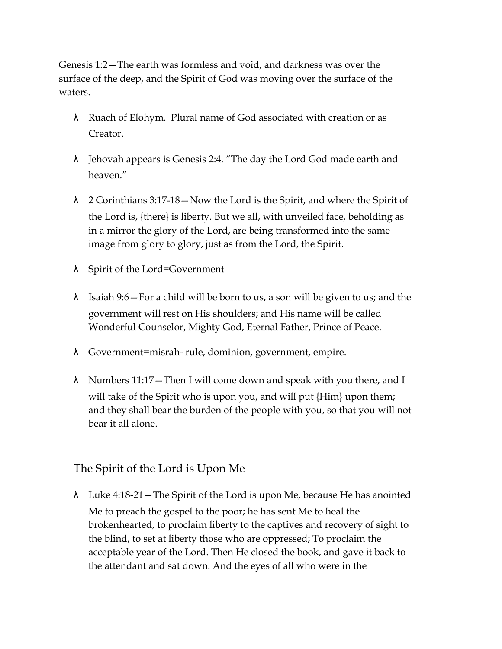Genesis 1:2—The earth was formless and void, and darkness was over the surface of the deep, and the Spirit of God was moving over the surface of the waters.

- λ Ruach of Elohym. Plural name of God associated with creation or as Creator.
- λ Jehovah appears is Genesis 2:4. "The day the Lord God made earth and heaven."
- λ 2 Corinthians 3:17-18—Now the Lord is the Spirit, and where the Spirit of the Lord is, {there} is liberty. But we all, with unveiled face, beholding as in a mirror the glory of the Lord, are being transformed into the same image from glory to glory, just as from the Lord, the Spirit.
- λ Spirit of the Lord=Government
- $\lambda$  Isaiah 9:6 For a child will be born to us, a son will be given to us; and the government will rest on His shoulders; and His name will be called Wonderful Counselor, Mighty God, Eternal Father, Prince of Peace.
- λ Government=misrah- rule, dominion, government, empire.
- λ Numbers 11:17—Then I will come down and speak with you there, and I will take of the Spirit who is upon you, and will put {Him} upon them; and they shall bear the burden of the people with you, so that you will not bear it all alone.

## The Spirit of the Lord is Upon Me

λ Luke 4:18-21—The Spirit of the Lord is upon Me, because He has anointed Me to preach the gospel to the poor; he has sent Me to heal the brokenhearted, to proclaim liberty to the captives and recovery of sight to the blind, to set at liberty those who are oppressed; To proclaim the acceptable year of the Lord. Then He closed the book, and gave it back to the attendant and sat down. And the eyes of all who were in the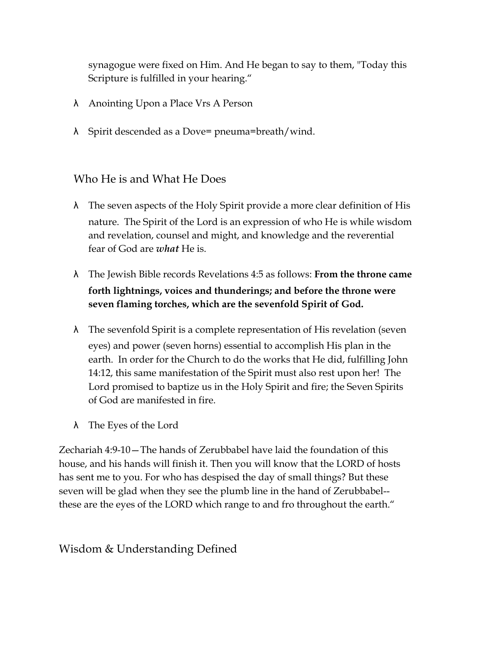synagogue were fixed on Him. And He began to say to them, "Today this Scripture is fulfilled in your hearing."

- λ Anointing Upon a Place Vrs A Person
- λ Spirit descended as a Dove= pneuma=breath/wind.

## Who He is and What He Does

- λ The seven aspects of the Holy Spirit provide a more clear definition of His nature. The Spirit of the Lord is an expression of who He is while wisdom and revelation, counsel and might, and knowledge and the reverential fear of God are *what* He is.
- λ The Jewish Bible records Revelations 4:5 as follows: **From the throne came forth lightnings, voices and thunderings; and before the throne were seven flaming torches, which are the sevenfold Spirit of God.**
- λ The sevenfold Spirit is a complete representation of His revelation (seven eyes) and power (seven horns) essential to accomplish His plan in the earth. In order for the Church to do the works that He did, fulfilling John 14:12, this same manifestation of the Spirit must also rest upon her! The Lord promised to baptize us in the Holy Spirit and fire; the Seven Spirits of God are manifested in fire.
- λ The Eyes of the Lord

Zechariah 4:9-10—The hands of Zerubbabel have laid the foundation of this house, and his hands will finish it. Then you will know that the LORD of hosts has sent me to you. For who has despised the day of small things? But these seven will be glad when they see the plumb line in the hand of Zerubbabel- these are the eyes of the LORD which range to and fro throughout the earth."

# Wisdom & Understanding Defined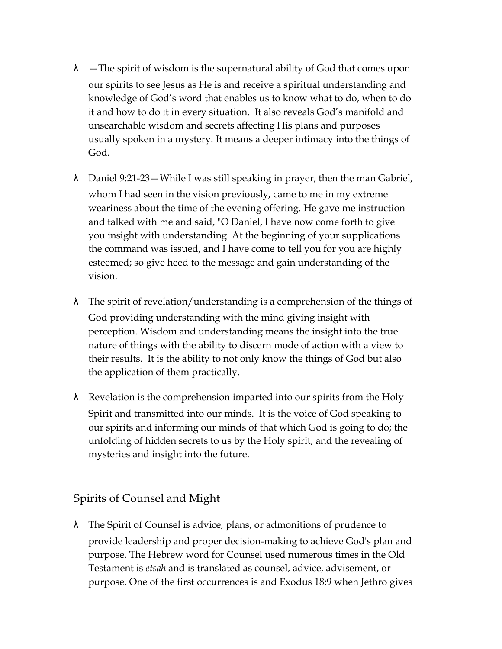- $\lambda$  The spirit of wisdom is the supernatural ability of God that comes upon our spirits to see Jesus as He is and receive a spiritual understanding and knowledge of God's word that enables us to know what to do, when to do it and how to do it in every situation. It also reveals God's manifold and unsearchable wisdom and secrets affecting His plans and purposes usually spoken in a mystery. It means a deeper intimacy into the things of God.
- λ Daniel 9:21-23—While I was still speaking in prayer, then the man Gabriel, whom I had seen in the vision previously, came to me in my extreme weariness about the time of the evening offering. He gave me instruction and talked with me and said, "O Daniel, I have now come forth to give you insight with understanding. At the beginning of your supplications the command was issued, and I have come to tell you for you are highly esteemed; so give heed to the message and gain understanding of the vision.
- λ The spirit of revelation/understanding is a comprehension of the things of God providing understanding with the mind giving insight with perception. Wisdom and understanding means the insight into the true nature of things with the ability to discern mode of action with a view to their results. It is the ability to not only know the things of God but also the application of them practically.
- $\lambda$  Revelation is the comprehension imparted into our spirits from the Holy Spirit and transmitted into our minds. It is the voice of God speaking to our spirits and informing our minds of that which God is going to do; the unfolding of hidden secrets to us by the Holy spirit; and the revealing of mysteries and insight into the future.

Spirits of Counsel and Might

λ The Spirit of Counsel is advice, plans, or admonitions of prudence to provide leadership and proper decision-making to achieve God's plan and purpose. The Hebrew word for Counsel used numerous times in the Old Testament is *etsah* and is translated as counsel, advice, advisement, or purpose. One of the first occurrences is and Exodus 18:9 when Jethro gives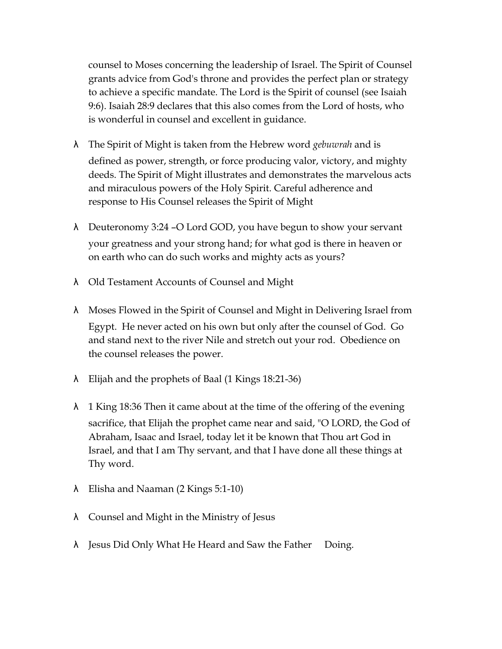counsel to Moses concerning the leadership of Israel. The Spirit of Counsel grants advice from God's throne and provides the perfect plan or strategy to achieve a specific mandate. The Lord is the Spirit of counsel (see Isaiah 9:6). Isaiah 28:9 declares that this also comes from the Lord of hosts, who is wonderful in counsel and excellent in guidance.

- λ The Spirit of Might is taken from the Hebrew word *gebuwrah* and is defined as power, strength, or force producing valor, victory, and mighty deeds. The Spirit of Might illustrates and demonstrates the marvelous acts and miraculous powers of the Holy Spirit. Careful adherence and response to His Counsel releases the Spirit of Might
- λ Deuteronomy 3:24 –O Lord GOD, you have begun to show your servant your greatness and your strong hand; for what god is there in heaven or on earth who can do such works and mighty acts as yours?
- λ Old Testament Accounts of Counsel and Might
- λ Moses Flowed in the Spirit of Counsel and Might in Delivering Israel from Egypt. He never acted on his own but only after the counsel of God. Go and stand next to the river Nile and stretch out your rod. Obedience on the counsel releases the power.
- λ Elijah and the prophets of Baal (1 Kings 18:21-36)
- $\lambda$  1 King 18:36 Then it came about at the time of the offering of the evening sacrifice, that Elijah the prophet came near and said, "O LORD, the God of Abraham, Isaac and Israel, today let it be known that Thou art God in Israel, and that I am Thy servant, and that I have done all these things at Thy word.
- λ Elisha and Naaman (2 Kings 5:1-10)
- λ Counsel and Might in the Ministry of Jesus
- λ Jesus Did Only What He Heard and Saw the Father Doing.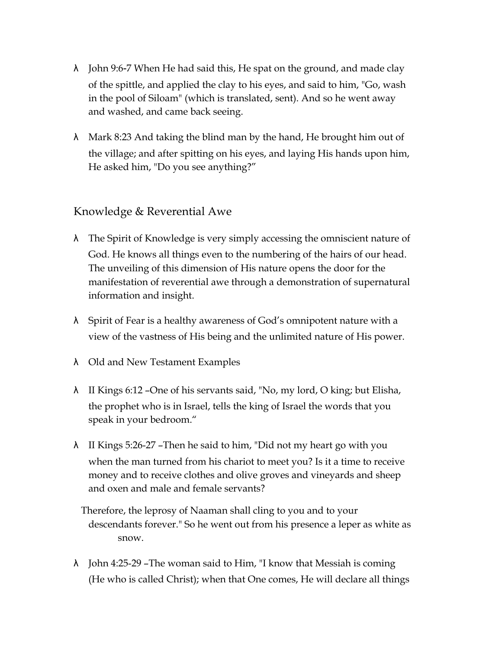- $\lambda$  John 9:6-7 When He had said this, He spat on the ground, and made clay of the spittle, and applied the clay to his eyes, and said to him, "Go, wash in the pool of Siloam" (which is translated, sent). And so he went away and washed, and came back seeing.
- $\lambda$  Mark 8:23 And taking the blind man by the hand, He brought him out of the village; and after spitting on his eyes, and laying His hands upon him, He asked him, "Do you see anything?"

#### Knowledge & Reverential Awe

- λ The Spirit of Knowledge is very simply accessing the omniscient nature of God. He knows all things even to the numbering of the hairs of our head. The unveiling of this dimension of His nature opens the door for the manifestation of reverential awe through a demonstration of supernatural information and insight.
- λ Spirit of Fear is a healthy awareness of God's omnipotent nature with a view of the vastness of His being and the unlimited nature of His power.
- λ Old and New Testament Examples
- λ II Kings 6:12 –One of his servants said, "No, my lord, O king; but Elisha, the prophet who is in Israel, tells the king of Israel the words that you speak in your bedroom."
- λ II Kings 5:26-27 –Then he said to him, "Did not my heart go with you when the man turned from his chariot to meet you? Is it a time to receive money and to receive clothes and olive groves and vineyards and sheep and oxen and male and female servants?
	- Therefore, the leprosy of Naaman shall cling to you and to your descendants forever." So he went out from his presence a leper as white as snow.
- λ John 4:25-29 –The woman said to Him, "I know that Messiah is coming (He who is called Christ); when that One comes, He will declare all things